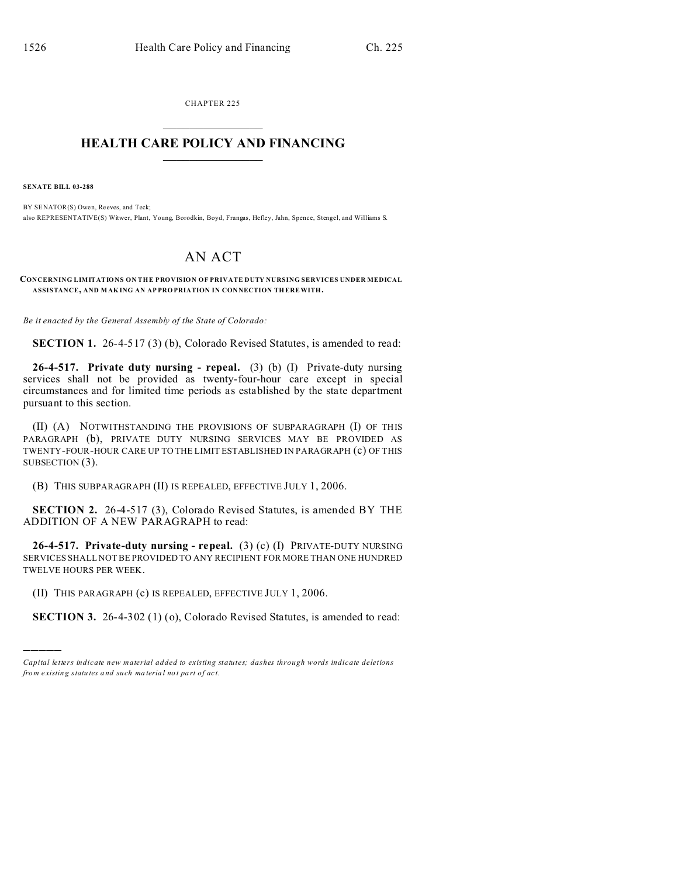CHAPTER 225  $\overline{\phantom{a}}$  , where  $\overline{\phantom{a}}$ 

## **HEALTH CARE POLICY AND FINANCING**  $\_$   $\_$   $\_$   $\_$   $\_$   $\_$   $\_$   $\_$

**SENATE BILL 03-288**

)))))

BY SENATOR(S) Owen, Reeves, and Teck; also REPRESENTATIVE(S) Witwer, Plant, Young, Borodkin, Boyd, Frangas, Hefley, Jahn, Spence, Stengel, and Williams S.

## AN ACT

**CONCERNING LIMITATIONS ON THE PROVISION OF PRIVATE DUTY NURSING SERVICES UNDER MEDICAL ASSISTANCE, AND MAK ING AN AP PRO PRIATION IN CON NECTION TH EREWITH.**

*Be it enacted by the General Assembly of the State of Colorado:*

**SECTION 1.** 26-4-517 (3) (b), Colorado Revised Statutes, is amended to read:

**26-4-517. Private duty nursing - repeal.** (3) (b) (I) Private-duty nursing services shall not be provided as twenty-four-hour care except in special circumstances and for limited time periods as established by the state department pursuant to this section.

(II) (A) NOTWITHSTANDING THE PROVISIONS OF SUBPARAGRAPH (I) OF THIS PARAGRAPH (b), PRIVATE DUTY NURSING SERVICES MAY BE PROVIDED AS TWENTY-FOUR-HOUR CARE UP TO THE LIMIT ESTABLISHED IN PARAGRAPH (c) OF THIS SUBSECTION (3).

(B) THIS SUBPARAGRAPH (II) IS REPEALED, EFFECTIVE JULY 1, 2006.

**SECTION 2.** 26-4-517 (3), Colorado Revised Statutes, is amended BY THE ADDITION OF A NEW PARAGRAPH to read:

**26-4-517. Private-duty nursing - repeal.** (3) (c) (I) PRIVATE-DUTY NURSING SERVICES SHALL NOT BE PROVIDED TO ANY RECIPIENT FOR MORE THAN ONE HUNDRED TWELVE HOURS PER WEEK.

(II) THIS PARAGRAPH (c) IS REPEALED, EFFECTIVE JULY 1, 2006.

**SECTION 3.** 26-4-302 (1) (o), Colorado Revised Statutes, is amended to read:

*Capital letters indicate new material added to existing statutes; dashes through words indicate deletions from e xistin g statu tes a nd such ma teria l no t pa rt of ac t.*